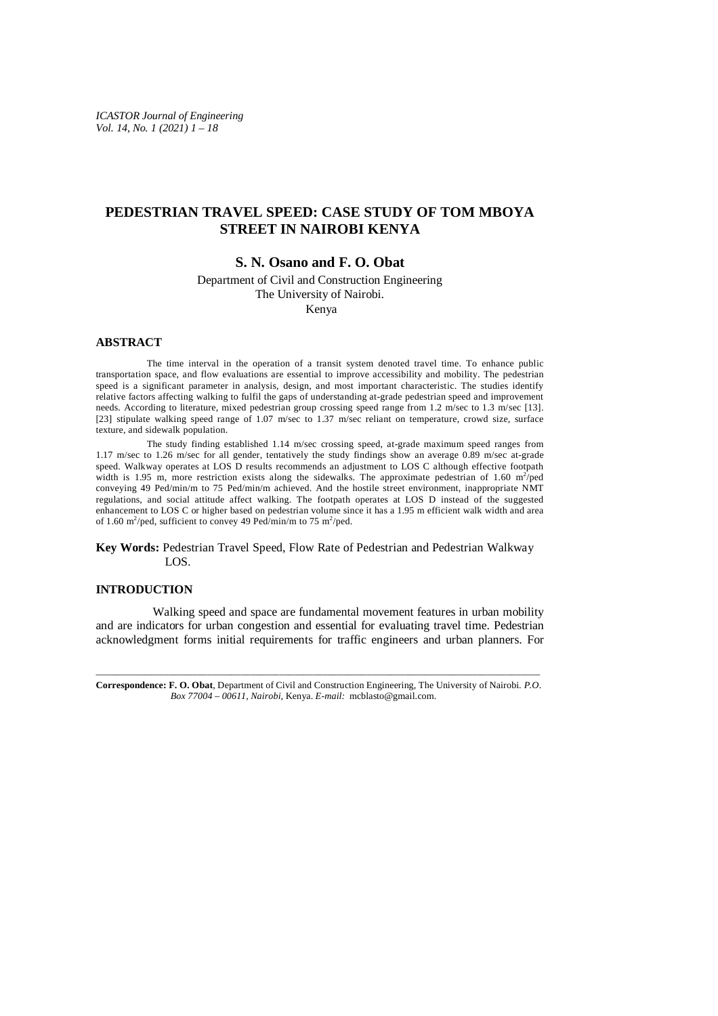*ICASTOR Journal of Engineering Vol. 14, No. 1 (2021) 1 – 18*

# **PEDESTRIAN TRAVEL SPEED: CASE STUDY OF TOM MBOYA STREET IN NAIROBI KENYA**

# **S. N. Osano and F. O. Obat**

Department of Civil and Construction Engineering The University of Nairobi.

Kenya

# **ABSTRACT**

 The time interval in the operation of a transit system denoted travel time. To enhance public transportation space, and flow evaluations are essential to improve accessibility and mobility. The pedestrian speed is a significant parameter in analysis, design, and most important characteristic. The studies identify relative factors affecting walking to fulfil the gaps of understanding at-grade pedestrian speed and improvement needs. According to literature, mixed pedestrian group crossing speed range from 1.2 m/sec to 1.3 m/sec [13]. [23] stipulate walking speed range of 1.07 m/sec to 1.37 m/sec reliant on temperature, crowd size, surface texture, and sidewalk population.

 The study finding established 1.14 m/sec crossing speed, at-grade maximum speed ranges from 1.17 m/sec to 1.26 m/sec for all gender, tentatively the study findings show an average 0.89 m/sec at-grade speed. Walkway operates at LOS D results recommends an adjustment to LOS C although effective footpath width is 1.95 m, more restriction exists along the sidewalks. The approximate pedestrian of 1.60 m<sup>2</sup>/ped conveying 49 Ped/min/m to 75 Ped/min/m achieved. And the hostile street environment, inappropriate NMT regulations, and social attitude affect walking. The footpath operates at LOS D instead of the suggested enhancement to LOS C or higher based on pedestrian volume since it has a 1.95 m efficient walk width and area of 1.60 m<sup>2</sup>/ped, sufficient to convey 49 Ped/min/m to 75 m<sup>2</sup>/ped.

**Key Words:** Pedestrian Travel Speed, Flow Rate of Pedestrian and Pedestrian Walkway LOS.

# **INTRODUCTION**

 Walking speed and space are fundamental movement features in urban mobility and are indicators for urban congestion and essential for evaluating travel time. Pedestrian acknowledgment forms initial requirements for traffic engineers and urban planners. For

\_\_\_\_\_\_\_\_\_\_\_\_\_\_\_\_\_\_\_\_\_\_\_\_\_\_\_\_\_\_\_\_\_\_\_\_\_\_\_\_\_\_\_\_\_\_\_\_\_\_\_\_\_\_\_\_\_\_\_\_\_\_\_\_\_\_\_\_\_\_\_\_\_\_\_\_\_\_\_\_\_\_\_\_\_\_\_\_\_\_\_\_ **Correspondence: F. O. Obat**, Department of Civil and Construction Engineering, The University of Nairobi. *P.O. Box 77004 – 00611, Nairobi,* Kenya. *E-mail:* [mcblasto@gmail.com.](mailto:mcblasto@gmail.com.)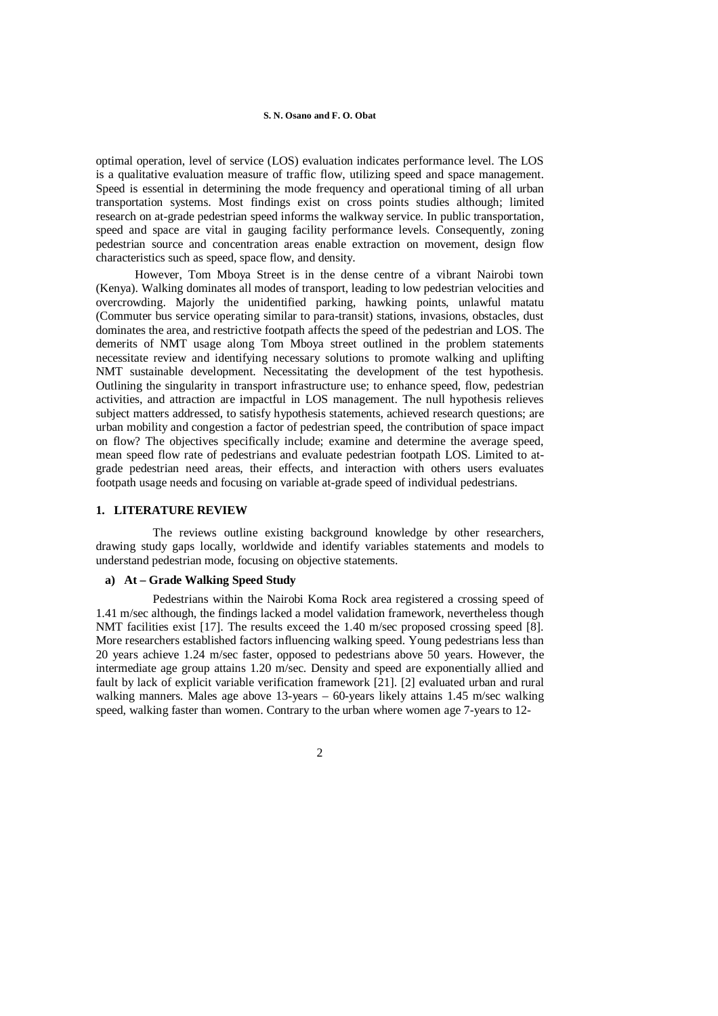optimal operation, level of service (LOS) evaluation indicates performance level. The LOS is a qualitative evaluation measure of traffic flow, utilizing speed and space management. Speed is essential in determining the mode frequency and operational timing of all urban transportation systems. Most findings exist on cross points studies although; limited research on at-grade pedestrian speed informs the walkway service. In public transportation, speed and space are vital in gauging facility performance levels. Consequently, zoning pedestrian source and concentration areas enable extraction on movement, design flow characteristics such as speed, space flow, and density.

 However, Tom Mboya Street is in the dense centre of a vibrant Nairobi town (Kenya). Walking dominates all modes of transport, leading to low pedestrian velocities and overcrowding. Majorly the unidentified parking, hawking points, unlawful matatu (Commuter bus service operating similar to para-transit) stations, invasions, obstacles, dust dominates the area, and restrictive footpath affects the speed of the pedestrian and LOS. The demerits of NMT usage along Tom Mboya street outlined in the problem statements necessitate review and identifying necessary solutions to promote walking and uplifting NMT sustainable development. Necessitating the development of the test hypothesis. Outlining the singularity in transport infrastructure use; to enhance speed, flow, pedestrian activities, and attraction are impactful in LOS management. The null hypothesis relieves subject matters addressed, to satisfy hypothesis statements, achieved research questions; are urban mobility and congestion a factor of pedestrian speed, the contribution of space impact on flow? The objectives specifically include; examine and determine the average speed, mean speed flow rate of pedestrians and evaluate pedestrian footpath LOS. Limited to atgrade pedestrian need areas, their effects, and interaction with others users evaluates footpath usage needs and focusing on variable at-grade speed of individual pedestrians.

# **1. LITERATURE REVIEW**

 The reviews outline existing background knowledge by other researchers, drawing study gaps locally, worldwide and identify variables statements and models to understand pedestrian mode, focusing on objective statements.

# **a) At – Grade Walking Speed Study**

 Pedestrians within the Nairobi Koma Rock area registered a crossing speed of 1.41 m/sec although, the findings lacked a model validation framework, nevertheless though NMT facilities exist [17]. The results exceed the 1.40 m/sec proposed crossing speed [8]. More researchers established factors influencing walking speed. Young pedestrians less than 20 years achieve 1.24 m/sec faster, opposed to pedestrians above 50 years. However, the intermediate age group attains 1.20 m/sec. Density and speed are exponentially allied and fault by lack of explicit variable verification framework [21]. [2] evaluated urban and rural walking manners. Males age above 13-years – 60-years likely attains 1.45 m/sec walking speed, walking faster than women. Contrary to the urban where women age 7-years to 12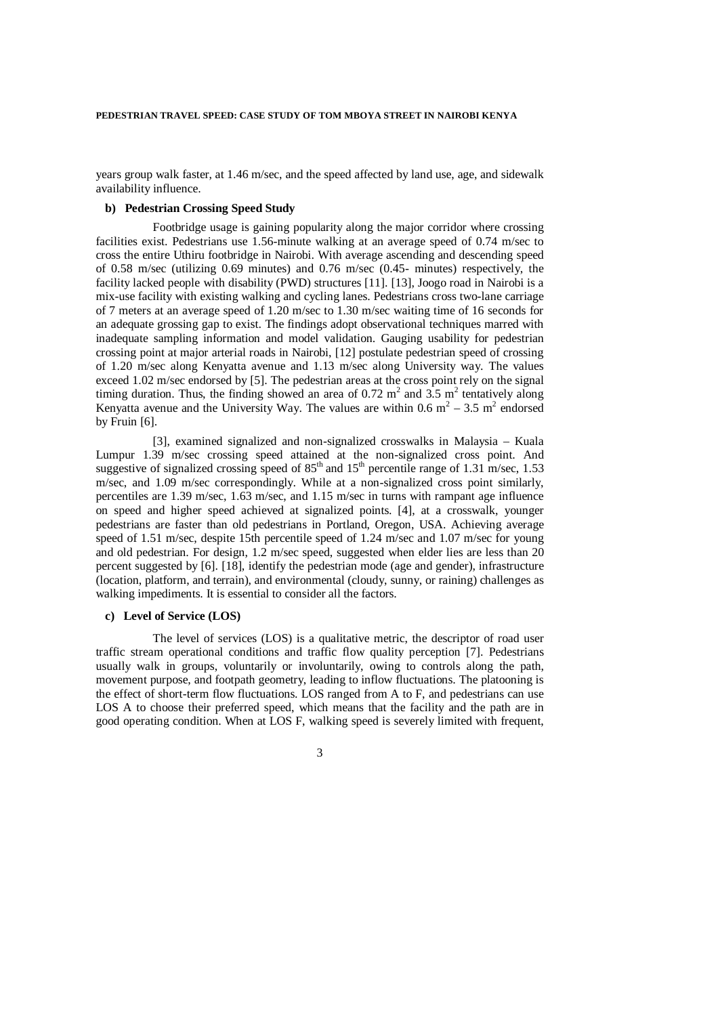years group walk faster, at 1.46 m/sec, and the speed affected by land use, age, and sidewalk availability influence.

### **b) Pedestrian Crossing Speed Study**

 Footbridge usage is gaining popularity along the major corridor where crossing facilities exist. Pedestrians use 1.56-minute walking at an average speed of 0.74 m/sec to cross the entire Uthiru footbridge in Nairobi. With average ascending and descending speed of 0.58 m/sec (utilizing 0.69 minutes) and 0.76 m/sec (0.45- minutes) respectively, the facility lacked people with disability (PWD) structures [11]. [13], Joogo road in Nairobi is a mix-use facility with existing walking and cycling lanes. Pedestrians cross two-lane carriage of 7 meters at an average speed of 1.20 m/sec to 1.30 m/sec waiting time of 16 seconds for an adequate grossing gap to exist. The findings adopt observational techniques marred with inadequate sampling information and model validation. Gauging usability for pedestrian crossing point at major arterial roads in Nairobi, [12] postulate pedestrian speed of crossing of 1.20 m/sec along Kenyatta avenue and 1.13 m/sec along University way. The values exceed 1.02 m/sec endorsed by [5]. The pedestrian areas at the cross point rely on the signal timing duration. Thus, the finding showed an area of 0.72  $m^2$  and 3.5  $m^2$  tentatively along Kenyatta avenue and the University Way. The values are within 0.6  $m^2 - 3.5$  m<sup>2</sup> endorsed by Fruin [6].

 [3], examined signalized and non-signalized crosswalks in Malaysia – Kuala Lumpur 1.39 m/sec crossing speed attained at the non-signalized cross point. And suggestive of signalized crossing speed of  $85<sup>th</sup>$  and  $15<sup>th</sup>$  percentile range of 1.31 m/sec, 1.53 m/sec, and 1.09 m/sec correspondingly. While at a non-signalized cross point similarly, percentiles are 1.39 m/sec, 1.63 m/sec, and 1.15 m/sec in turns with rampant age influence on speed and higher speed achieved at signalized points. [4], at a crosswalk, younger pedestrians are faster than old pedestrians in Portland, Oregon, USA. Achieving average speed of 1.51 m/sec, despite 15th percentile speed of 1.24 m/sec and 1.07 m/sec for young and old pedestrian. For design, 1.2 m/sec speed, suggested when elder lies are less than 20 percent suggested by [6]. [18], identify the pedestrian mode (age and gender), infrastructure (location, platform, and terrain), and environmental (cloudy, sunny, or raining) challenges as walking impediments. It is essential to consider all the factors.

### **c) Level of Service (LOS)**

 The level of services (LOS) is a qualitative metric, the descriptor of road user traffic stream operational conditions and traffic flow quality perception [7]. Pedestrians usually walk in groups, voluntarily or involuntarily, owing to controls along the path, movement purpose, and footpath geometry, leading to inflow fluctuations. The platooning is the effect of short-term flow fluctuations. LOS ranged from A to F, and pedestrians can use LOS A to choose their preferred speed, which means that the facility and the path are in good operating condition. When at LOS F, walking speed is severely limited with frequent,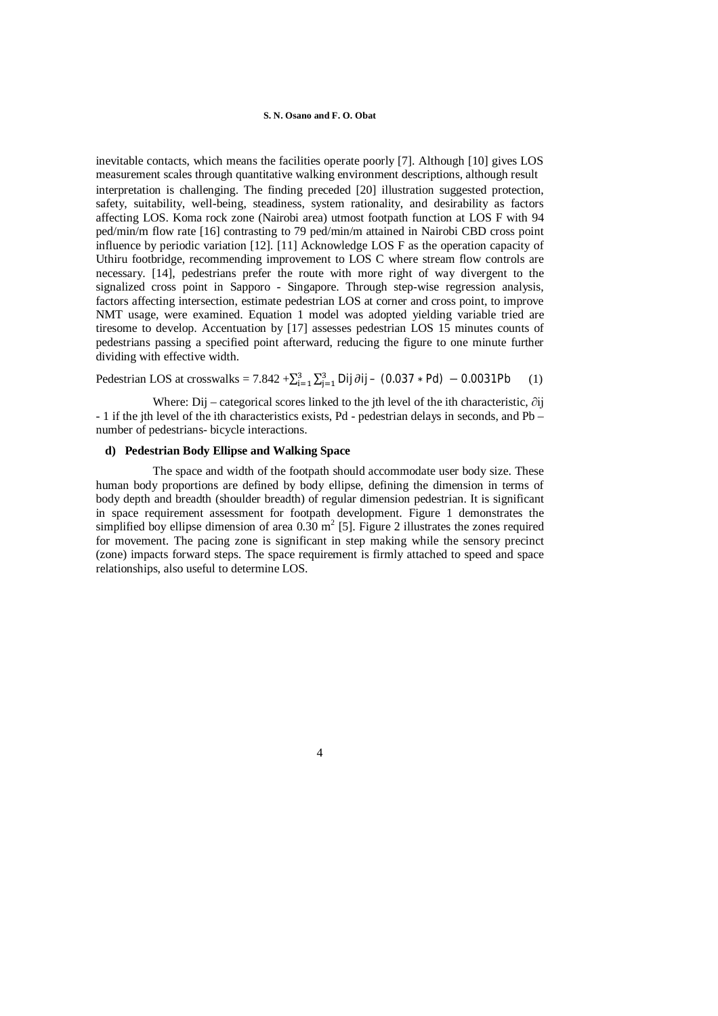inevitable contacts, which means the facilities operate poorly [7]. Although [10] gives LOS measurement scales through quantitative walking environment descriptions, although result interpretation is challenging. The finding preceded [20] illustration suggested protection, safety, suitability, well-being, steadiness, system rationality, and desirability as factors affecting LOS. Koma rock zone (Nairobi area) utmost footpath function at LOS F with 94 ped/min/m flow rate [16] contrasting to 79 ped/min/m attained in Nairobi CBD cross point influence by periodic variation [12]. [11] Acknowledge LOS F as the operation capacity of Uthiru footbridge, recommending improvement to LOS C where stream flow controls are necessary. [14], pedestrians prefer the route with more right of way divergent to the signalized cross point in Sapporo - Singapore. Through step-wise regression analysis, factors affecting intersection, estimate pedestrian LOS at corner and cross point, to improve NMT usage, were examined. Equation 1 model was adopted yielding variable tried are tiresome to develop. Accentuation by [17] assesses pedestrian LOS 15 minutes counts of pedestrians passing a specified point afterward, reducing the figure to one minute further dividing with effective width.

Pedestrian LOS at crosswalks = 7.842 + $\sum_{i=1}^{3} \sum_{j=1}^{3}$ Dij  $\partial$ ij – (0.037 \* Pd) – 0.0031Pb (1)

 Where: Dij – categorical scores linked to the jth level of the ith characteristic, ∂ij - 1 if the jth level of the ith characteristics exists, Pd - pedestrian delays in seconds, and Pb – number of pedestrians- bicycle interactions.

### **d) Pedestrian Body Ellipse and Walking Space**

 The space and width of the footpath should accommodate user body size. These human body proportions are defined by body ellipse, defining the dimension in terms of body depth and breadth (shoulder breadth) of regular dimension pedestrian. It is significant in space requirement assessment for footpath development. Figure 1 demonstrates the simplified boy ellipse dimension of area  $0.30 \text{ m}^2$  [5]. Figure 2 illustrates the zones required for movement. The pacing zone is significant in step making while the sensory precinct (zone) impacts forward steps. The space requirement is firmly attached to speed and space relationships, also useful to determine LOS.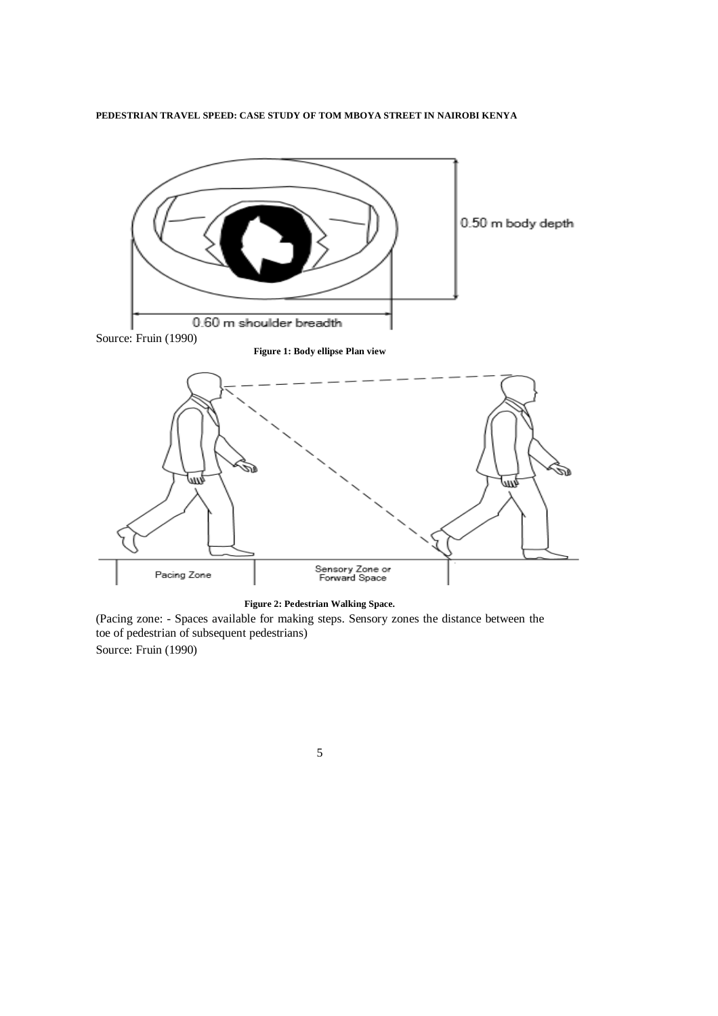

**Figure 2: Pedestrian Walking Space.**

(Pacing zone: - Spaces available for making steps. Sensory zones the distance between the toe of pedestrian of subsequent pedestrians) Source: Fruin (1990)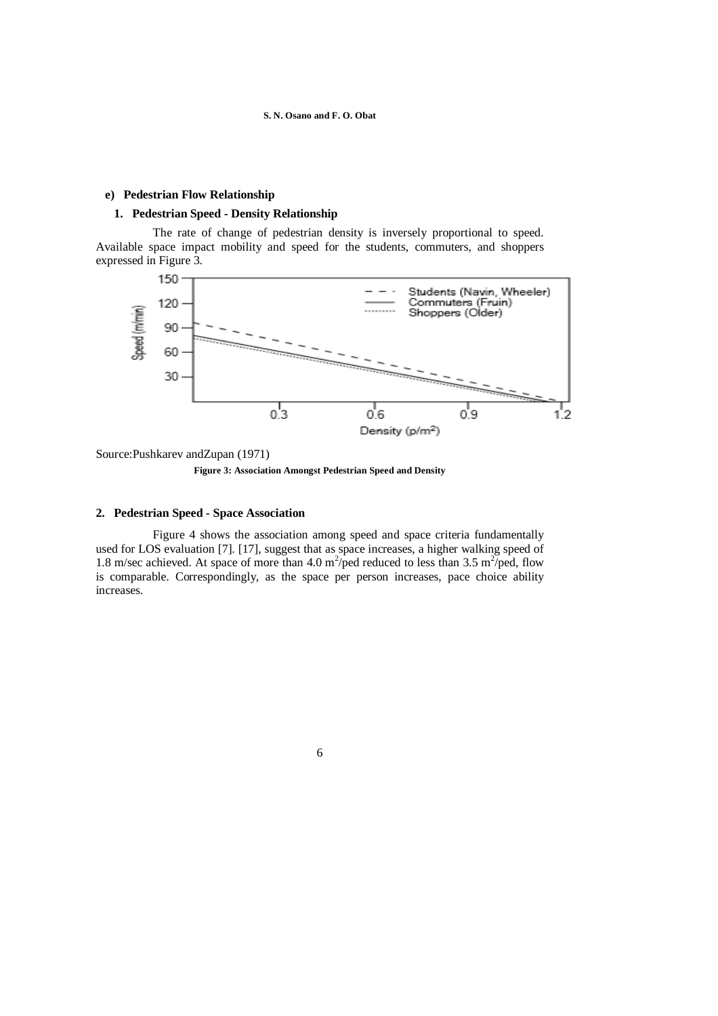# **e) Pedestrian Flow Relationship**

### **1. Pedestrian Speed - Density Relationship**

 The rate of change of pedestrian density is inversely proportional to speed. Available space impact mobility and speed for the students, commuters, and shoppers expressed in Figure 3.



Source:Pushkarev andZupan (1971)

**Figure 3: Association Amongst Pedestrian Speed and Density**

# **2. Pedestrian Speed - Space Association**

 Figure 4 shows the association among speed and space criteria fundamentally used for LOS evaluation [7]. [17], suggest that as space increases, a higher walking speed of 1.8 m/sec achieved. At space of more than 4.0 m<sup>2</sup>/ped reduced to less than 3.5 m<sup>2</sup>/ped, flow is comparable. Correspondingly, as the space per person increases, pace choice ability increases.

<sup>6</sup>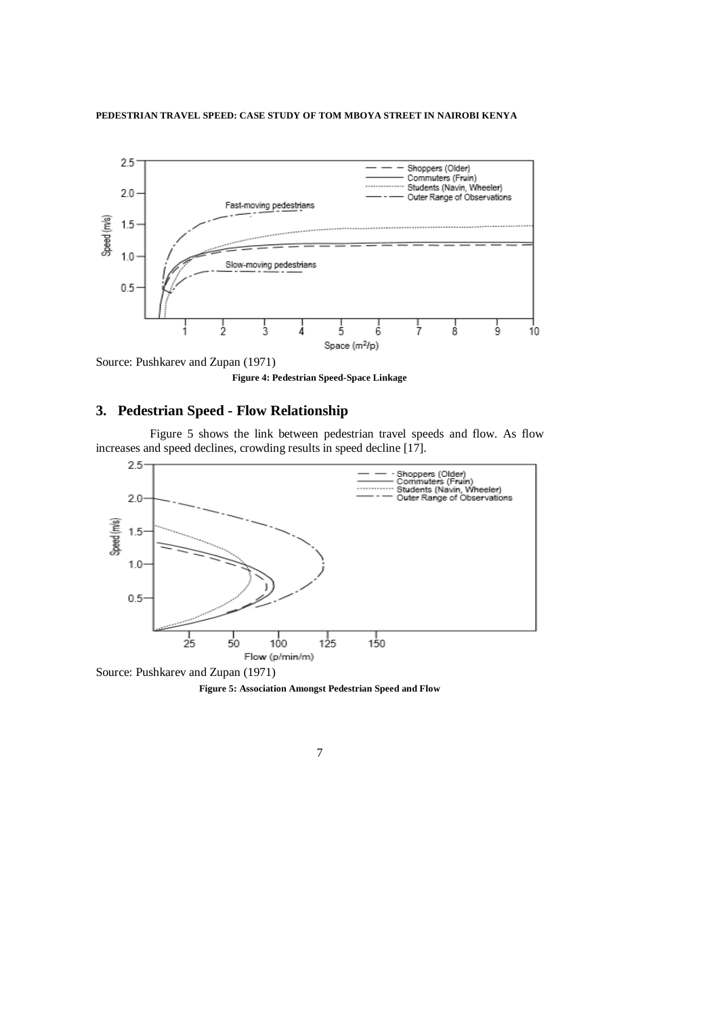

Source: Pushkarev and Zupan (1971)

**Figure 4: Pedestrian Speed-Space Linkage**

# **3. Pedestrian Speed - Flow Relationship**

 Figure 5 shows the link between pedestrian travel speeds and flow. As flow increases and speed declines, crowding results in speed decline [17].



Source: Pushkarev and Zupan (1971) **Figure 5: Association Amongst Pedestrian Speed and Flow**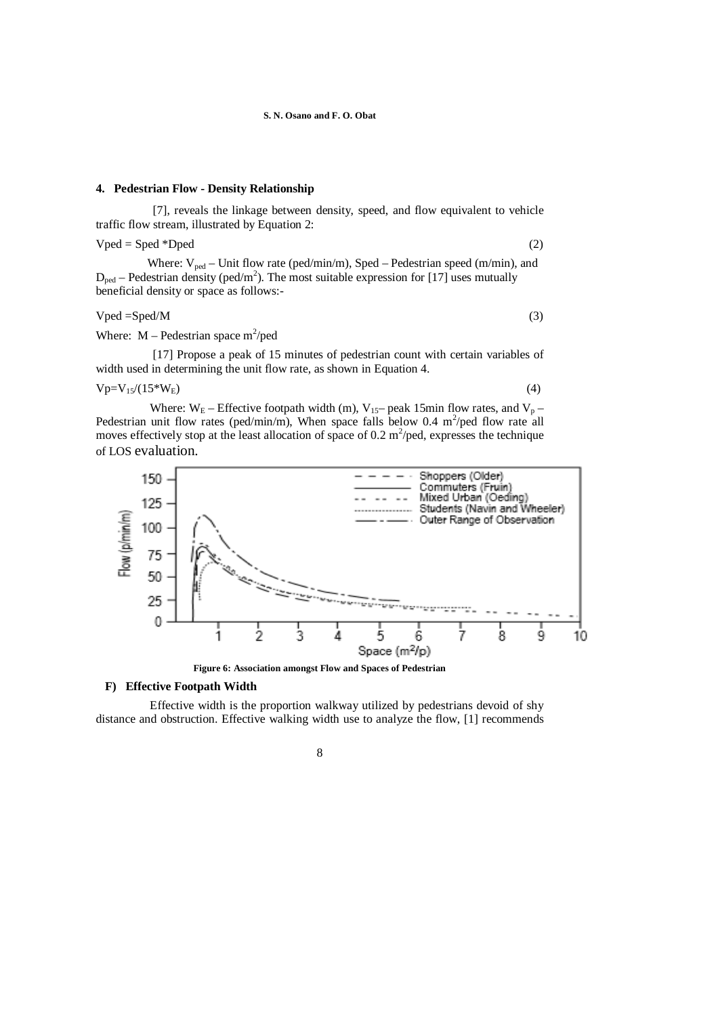#### **4. Pedestrian Flow - Density Relationship**

 [7], reveals the linkage between density, speed, and flow equivalent to vehicle traffic flow stream, illustrated by Equation 2:

 $Vped = Sped *Dped$  (2)

Where:  $V_{ped}$  – Unit flow rate (ped/min/m), Sped – Pedestrian speed (m/min), and  $D_{\text{ped}}$  – Pedestrian density (ped/m<sup>2</sup>). The most suitable expression for [17] uses mutually beneficial density or space as follows:-

# $Vped = Sped/M$  (3)

Where:  $M -$  Pedestrian space m<sup>2</sup>/ped

[17] Propose a peak of 15 minutes of pedestrian count with certain variables of width used in determining the unit flow rate, as shown in Equation 4.

 $Vp=V_1s/(15*W_E)$  (4)

Where:  $W_E$  – Effective footpath width (m),  $V_{15}$ – peak 15min flow rates, and  $V_p$  – Pedestrian unit flow rates (ped/min/m), When space falls below 0.4 m<sup>2</sup>/ped flow rate all moves effectively stop at the least allocation of space of 0.2  $m^2$ /ped, expresses the technique of LOS evaluation.



**Figure 6: Association amongst Flow and Spaces of Pedestrian**

# **F) Effective Footpath Width**

 Effective width is the proportion walkway utilized by pedestrians devoid of shy distance and obstruction. Effective walking width use to analyze the flow, [1] recommends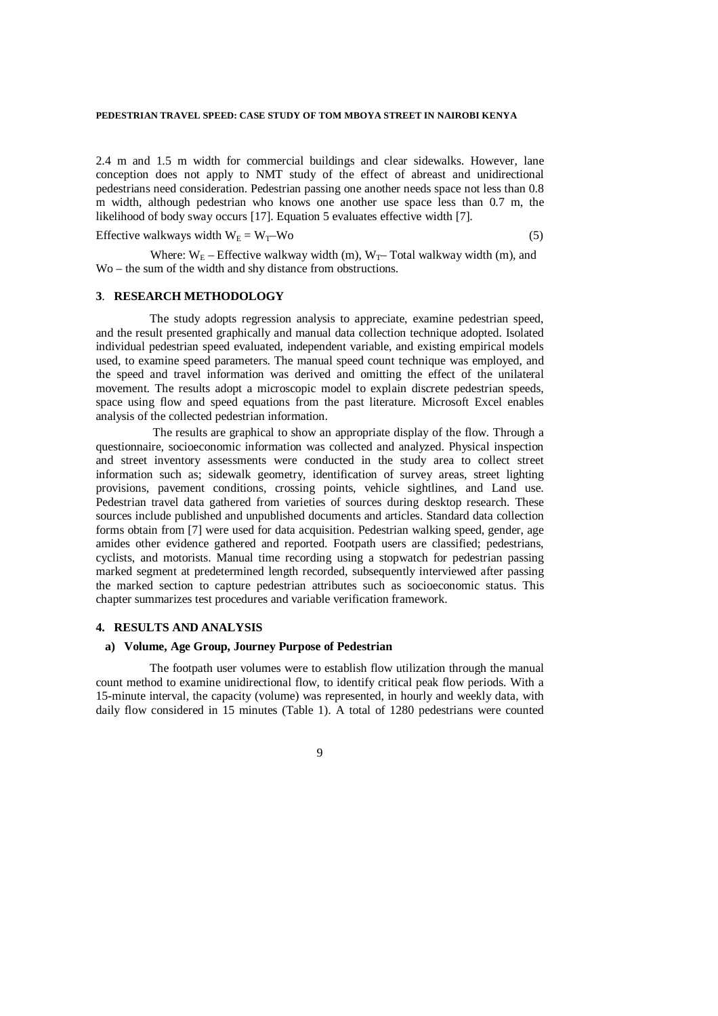2.4 m and 1.5 m width for commercial buildings and clear sidewalks. However, lane conception does not apply to NMT study of the effect of abreast and unidirectional pedestrians need consideration. Pedestrian passing one another needs space not less than 0.8 m width, although pedestrian who knows one another use space less than 0.7 m, the likelihood of body sway occurs [17]. Equation 5 evaluates effective width [7].

Effective walkways width  $W_E = W_T-W_0$  (5)

Where:  $W_E$  – Effective walkway width (m),  $W_T$ – Total walkway width (m), and Wo – the sum of the width and shy distance from obstructions.

### **3**. **RESEARCH METHODOLOGY**

 The study adopts regression analysis to appreciate, examine pedestrian speed, and the result presented graphically and manual data collection technique adopted. Isolated individual pedestrian speed evaluated, independent variable, and existing empirical models used, to examine speed parameters. The manual speed count technique was employed, and the speed and travel information was derived and omitting the effect of the unilateral movement. The results adopt a microscopic model to explain discrete pedestrian speeds, space using flow and speed equations from the past literature. Microsoft Excel enables analysis of the collected pedestrian information.

 The results are graphical to show an appropriate display of the flow. Through a questionnaire, socioeconomic information was collected and analyzed. Physical inspection and street inventory assessments were conducted in the study area to collect street information such as; sidewalk geometry, identification of survey areas, street lighting provisions, pavement conditions, crossing points, vehicle sightlines, and Land use. Pedestrian travel data gathered from varieties of sources during desktop research. These sources include published and unpublished documents and articles. Standard data collection forms obtain from [7] were used for data acquisition. Pedestrian walking speed, gender, age amides other evidence gathered and reported. Footpath users are classified; pedestrians, cyclists, and motorists. Manual time recording using a stopwatch for pedestrian passing marked segment at predetermined length recorded, subsequently interviewed after passing the marked section to capture pedestrian attributes such as socioeconomic status. This chapter summarizes test procedures and variable verification framework.

### **4. RESULTS AND ANALYSIS**

### **a) Volume, Age Group, Journey Purpose of Pedestrian**

 The footpath user volumes were to establish flow utilization through the manual count method to examine unidirectional flow, to identify critical peak flow periods. With a 15-minute interval, the capacity (volume) was represented, in hourly and weekly data, with daily flow considered in 15 minutes (Table 1). A total of 1280 pedestrians were counted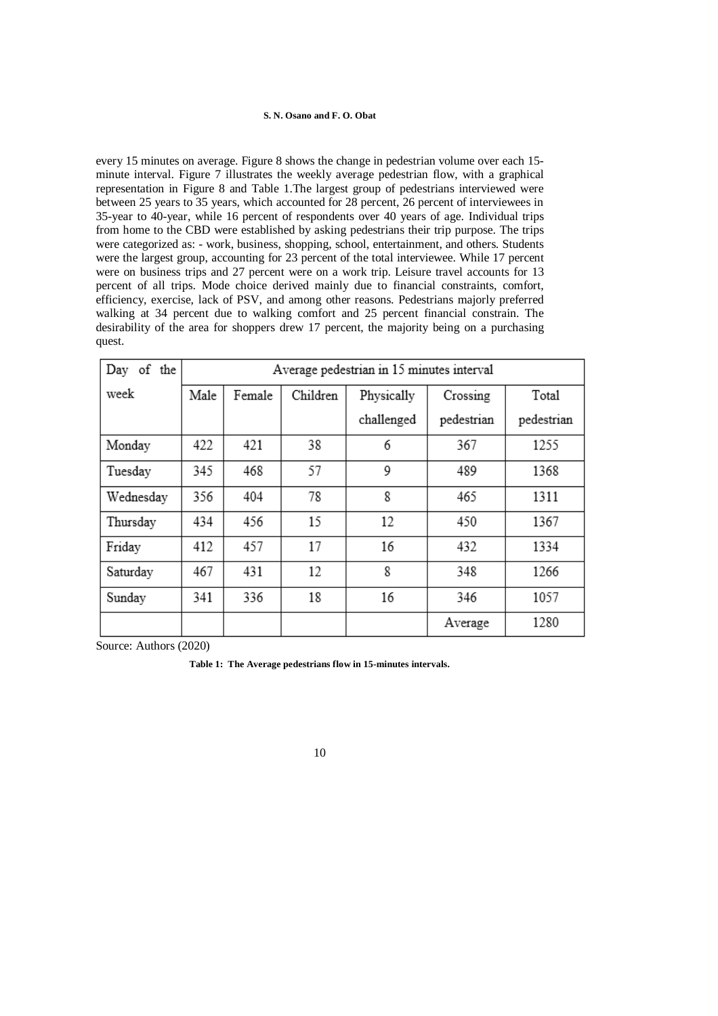every 15 minutes on average. Figure 8 shows the change in pedestrian volume over each 15 minute interval. Figure 7 illustrates the weekly average pedestrian flow, with a graphical representation in Figure 8 and Table 1.The largest group of pedestrians interviewed were between 25 years to 35 years, which accounted for 28 percent, 26 percent of interviewees in 35-year to 40-year, while 16 percent of respondents over 40 years of age. Individual trips from home to the CBD were established by asking pedestrians their trip purpose. The trips were categorized as: - work, business, shopping, school, entertainment, and others. Students were the largest group, accounting for 23 percent of the total interviewee. While 17 percent were on business trips and 27 percent were on a work trip. Leisure travel accounts for 13 percent of all trips. Mode choice derived mainly due to financial constraints, comfort, efficiency, exercise, lack of PSV, and among other reasons. Pedestrians majorly preferred walking at 34 percent due to walking comfort and 25 percent financial constrain. The desirability of the area for shoppers drew 17 percent, the majority being on a purchasing quest.

| Day of<br>the |      | Average pedestrian in 15 minutes interval |          |            |            |            |  |  |
|---------------|------|-------------------------------------------|----------|------------|------------|------------|--|--|
| week          | Male | Female                                    | Children | Physically | Crossing   | Total      |  |  |
|               |      |                                           |          | challenged | pedestrian | pedestrian |  |  |
| Monday        | 422  | 421                                       | 38       | 6          | 367        | 1255       |  |  |
| Tuesday       | 345  | 468                                       | 57       | 9          | 489        | 1368       |  |  |
| Wednesday     | 356  | 404                                       | 78       | 8          | 465        | 1311       |  |  |
| Thursday      | 434  | 456                                       | 15       | 12         | 450        | 1367       |  |  |
| Friday        | 412  | 457                                       | 17       | 16         | 432        | 1334       |  |  |
| Saturday      | 467  | 431                                       | 12       | 8          | 348        | 1266       |  |  |
| Sunday        | 341  | 336                                       | 18       | 16         | 346        | 1057       |  |  |
|               |      |                                           |          |            | Average    | 1280       |  |  |

Source: Authors (2020)

**Table 1: The Average pedestrians flow in 15-minutes intervals.**

| ۰.<br>۰. |  |
|----------|--|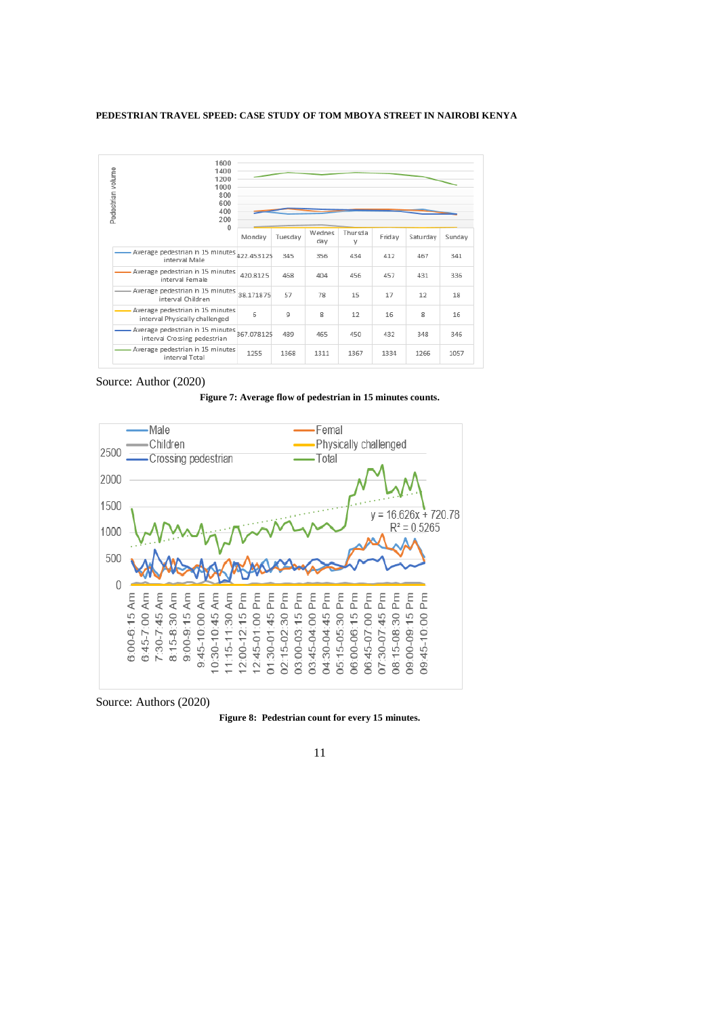| Pedestrian volume | 1600<br>1400<br>1200<br>1000<br>800<br>600<br>400<br>200<br>$\Omega$ |            |         |               |              |        |          |        |
|-------------------|----------------------------------------------------------------------|------------|---------|---------------|--------------|--------|----------|--------|
|                   |                                                                      | Monday     | Tuesday | Wednes<br>day | Thursda<br>V | Friday | Saturday | Sunday |
|                   | Average pedestrian in 15 minutes 422.453125<br>interval Male         |            | 345     | 356           | 434          | 412    | 467      | 341    |
|                   | Average pedestrian in 15 minutes<br>interval Female                  | 420.8125   | 468     | 404           | 456          | 457    | 431      | 336    |
|                   | - Average pedestrian in 15 minutes<br>interval Children              | 38.171875  | 57      | 78            | 15           | 17     | 12       | 18     |
|                   | - Average pedestrian in 15 minutes<br>interval Physically challenged | 6          | 9       | 8             | 12           | 16     | 8        | 16     |
|                   | - Average pedestrian in 15 minutes<br>interval Crossing pedestrian   | 367.078125 | 489     | 465           | 450          | 432    | 348      | 346    |
|                   | - Average pedestrian in 15 minutes<br>interval Total                 | 1255       | 1368    | 1311          | 1367         | 1334   | 1266     | 1057   |

### Source: Author (2020)

**Figure 7: Average flow of pedestrian in 15 minutes counts.**



Source: Authors (2020)

**Figure 8: Pedestrian count for every 15 minutes.**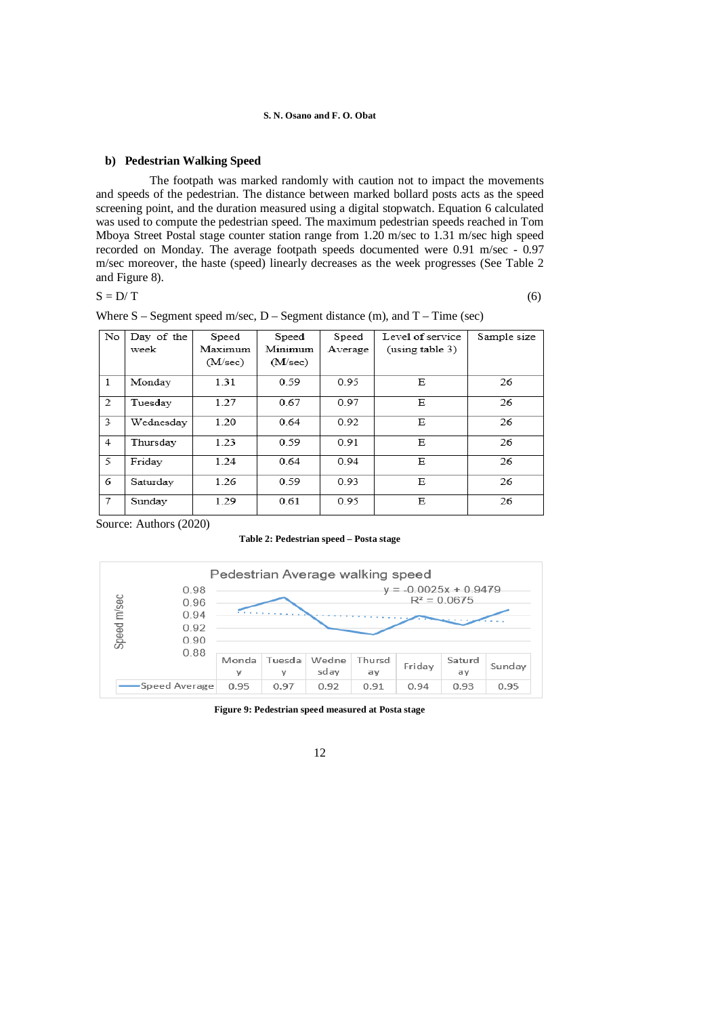### **b) Pedestrian Walking Speed**

 The footpath was marked randomly with caution not to impact the movements and speeds of the pedestrian. The distance between marked bollard posts acts as the speed screening point, and the duration measured using a digital stopwatch. Equation 6 calculated was used to compute the pedestrian speed. The maximum pedestrian speeds reached in Tom Mboya Street Postal stage counter station range from 1.20 m/sec to 1.31 m/sec high speed recorded on Monday. The average footpath speeds documented were 0.91 m/sec - 0.97 m/sec moreover, the haste (speed) linearly decreases as the week progresses (See Table 2 and Figure 8).

### $S = D/T$  (6)

| No             | Day of the | Speed   | Speed   | Speed   | Level of service | Sample size |
|----------------|------------|---------|---------|---------|------------------|-------------|
|                | week       | Maximum | Minimum | Average | (using table 3)  |             |
|                |            | (M/sec) | (M/sec) |         |                  |             |
| 1              | Monday     | 1.31    | 0.59    | 0.95    | Ε                | 26          |
| 2              | Tuesday    | 1.27    | 0.67    | 0.97    | Е                | 26          |
| 3              | Wednesday  | 1.20    | 0.64    | 0.92    | Ε                | 26          |
| $\overline{4}$ | Thursday   | 1.23    | 0.59    | 0.91    | Ε                | 26          |
| 5              | Friday     | 1.24    | 0.64    | 0.94    | Ε                | 26          |
| 6              | Saturday   | 1.26    | 0.59    | 0.93    | Е                | 26          |
| 7              | Sunday     | 1.29    | 0.61    | 0.95    | Ε                | 26          |

|  | Where $S$ – Segment speed m/sec, $D$ – Segment distance (m), and $T$ – Time (sec) |  |  |  |  |  |  |  |  |  |
|--|-----------------------------------------------------------------------------------|--|--|--|--|--|--|--|--|--|
|--|-----------------------------------------------------------------------------------|--|--|--|--|--|--|--|--|--|

Source: Authors (2020)

**Table 2: Pedestrian speed – Posta stage**



**Figure 9: Pedestrian speed measured at Posta stage**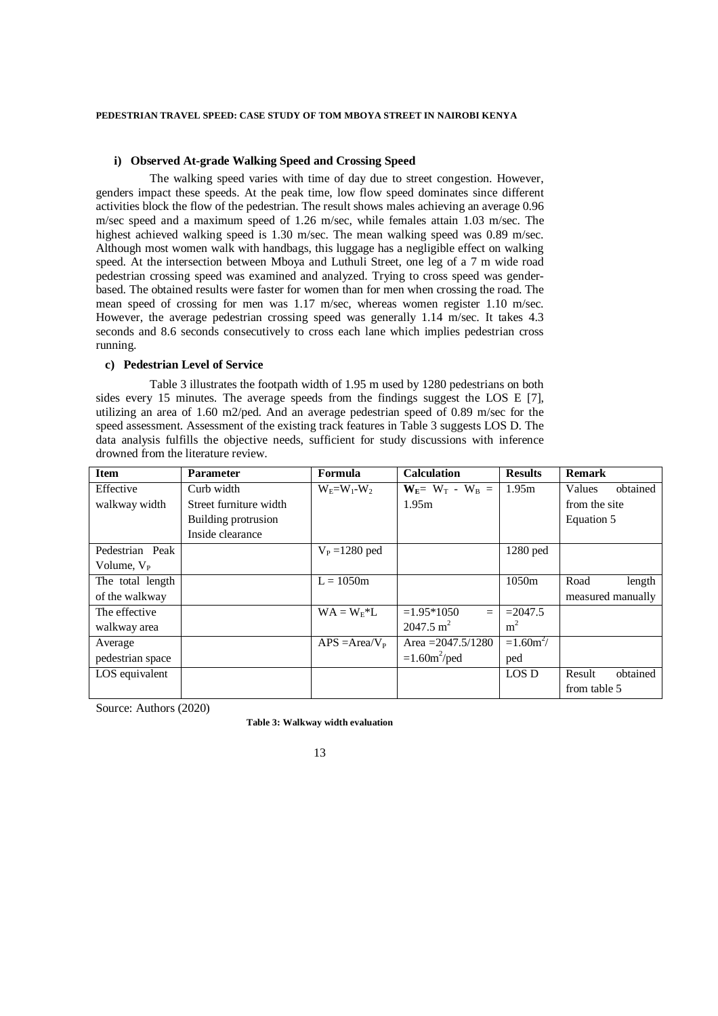### **i) Observed At-grade Walking Speed and Crossing Speed**

 The walking speed varies with time of day due to street congestion. However, genders impact these speeds. At the peak time, low flow speed dominates since different activities block the flow of the pedestrian. The result shows males achieving an average 0.96 m/sec speed and a maximum speed of 1.26 m/sec, while females attain 1.03 m/sec. The highest achieved walking speed is 1.30 m/sec. The mean walking speed was 0.89 m/sec. Although most women walk with handbags, this luggage has a negligible effect on walking speed. At the intersection between Mboya and Luthuli Street, one leg of a 7 m wide road pedestrian crossing speed was examined and analyzed. Trying to cross speed was genderbased. The obtained results were faster for women than for men when crossing the road. The mean speed of crossing for men was 1.17 m/sec, whereas women register 1.10 m/sec. However, the average pedestrian crossing speed was generally 1.14 m/sec. It takes 4.3 seconds and 8.6 seconds consecutively to cross each lane which implies pedestrian cross running.

# **c) Pedestrian Level of Service**

 Table 3 illustrates the footpath width of 1.95 m used by 1280 pedestrians on both sides every 15 minutes. The average speeds from the findings suggest the LOS E [7], utilizing an area of 1.60 m2/ped. And an average pedestrian speed of 0.89 m/sec for the speed assessment. Assessment of the existing track features in Table 3 suggests LOS D. The data analysis fulfills the objective needs, sufficient for study discussions with inference drowned from the literature review.

| <b>Item</b>      | <b>Parameter</b>       | Formula                | <b>Calculation</b>    | <b>Results</b> | <b>Remark</b>      |
|------------------|------------------------|------------------------|-----------------------|----------------|--------------------|
| Effective        | Curb width             | $W_F = W_1 - W_2$      | $W_E = W_T - W_B =$   | 1.95m          | obtained<br>Values |
| walkway width    | Street furniture width |                        | 1.95m                 |                | from the site      |
|                  | Building protrusion    |                        |                       |                | Equation 5         |
|                  | Inside clearance       |                        |                       |                |                    |
| Pedestrian Peak  |                        | $V_{\rm p} = 1280$ ped |                       | 1280 ped       |                    |
| Volume, $V_P$    |                        |                        |                       |                |                    |
| The total length |                        | $L = 1050m$            |                       | 1050m          | Road<br>length     |
| of the walkway   |                        |                        |                       |                | measured manually  |
| The effective    |                        | $WA = W_{F} * L$       | $=1.95*1050$<br>$=$   | $=2047.5$      |                    |
| walkway area     |                        |                        | $2047.5 \text{ m}^2$  | m <sup>2</sup> |                    |
| Average          |                        | $APS = Area/V_P$       | Area $=2047.5/1280$   | $=1.60m^2$ /   |                    |
| pedestrian space |                        |                        | $=1.60m^2/\text{ped}$ | ped            |                    |
| LOS equivalent   |                        |                        |                       | LOS D          | obtained<br>Result |
|                  |                        |                        |                       |                | from table 5       |

Source: Authors (2020)

**Table 3: Walkway width evaluation**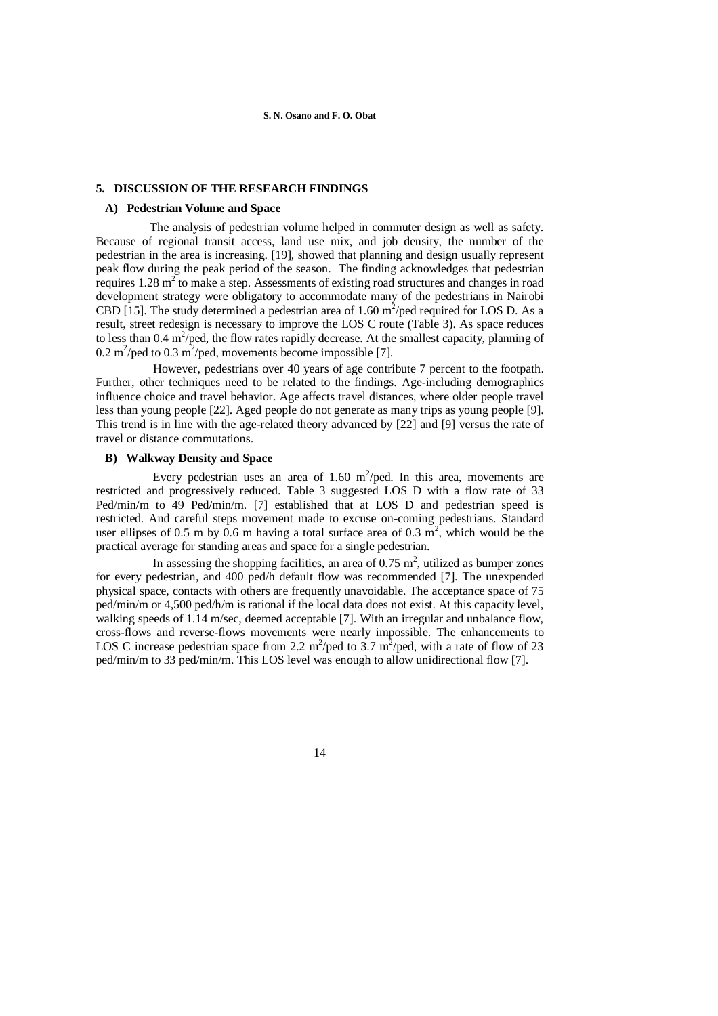### **5. DISCUSSION OF THE RESEARCH FINDINGS**

### **A) Pedestrian Volume and Space**

 The analysis of pedestrian volume helped in commuter design as well as safety. Because of regional transit access, land use mix, and job density, the number of the pedestrian in the area is increasing. [19], showed that planning and design usually represent peak flow during the peak period of the season. The finding acknowledges that pedestrian requires  $1.28 \text{ m}^2$  to make a step. Assessments of existing road structures and changes in road development strategy were obligatory to accommodate many of the pedestrians in Nairobi CBD [15]. The study determined a pedestrian area of 1.60  $m^2$ /ped required for LOS D. As a result, street redesign is necessary to improve the LOS C route (Table 3). As space reduces to less than 0.4  $m^2$ /ped, the flow rates rapidly decrease. At the smallest capacity, planning of 0.2 m<sup>2</sup>/ped to 0.3 m<sup>2</sup>/ped, movements become impossible [7].

 However, pedestrians over 40 years of age contribute 7 percent to the footpath. Further, other techniques need to be related to the findings. Age-including demographics influence choice and travel behavior. Age affects travel distances, where older people travel less than young people [22]. Aged people do not generate as many trips as young people [9]. This trend is in line with the age-related theory advanced by [22] and [9] versus the rate of travel or distance commutations.

#### **B) Walkway Density and Space**

Every pedestrian uses an area of 1.60  $m^2$ /ped. In this area, movements are restricted and progressively reduced. Table 3 suggested LOS D with a flow rate of 33 Ped/min/m to 49 Ped/min/m. [7] established that at LOS D and pedestrian speed is restricted. And careful steps movement made to excuse on-coming pedestrians. Standard user ellipses of 0.5 m by 0.6 m having a total surface area of 0.3  $m^2$ , which would be the practical average for standing areas and space for a single pedestrian.

In assessing the shopping facilities, an area of  $0.75 \text{ m}^2$ , utilized as bumper zones for every pedestrian, and 400 ped/h default flow was recommended [7]. The unexpended physical space, contacts with others are frequently unavoidable. The acceptance space of 75 ped/min/m or 4,500 ped/h/m is rational if the local data does not exist. At this capacity level, walking speeds of 1.14 m/sec, deemed acceptable [7]. With an irregular and unbalance flow, cross-flows and reverse-flows movements were nearly impossible. The enhancements to LOS C increase pedestrian space from 2.2 m<sup>2</sup>/ped to 3.7 m<sup>2</sup>/ped, with a rate of flow of 23 ped/min/m to 33 ped/min/m. This LOS level was enough to allow unidirectional flow [7].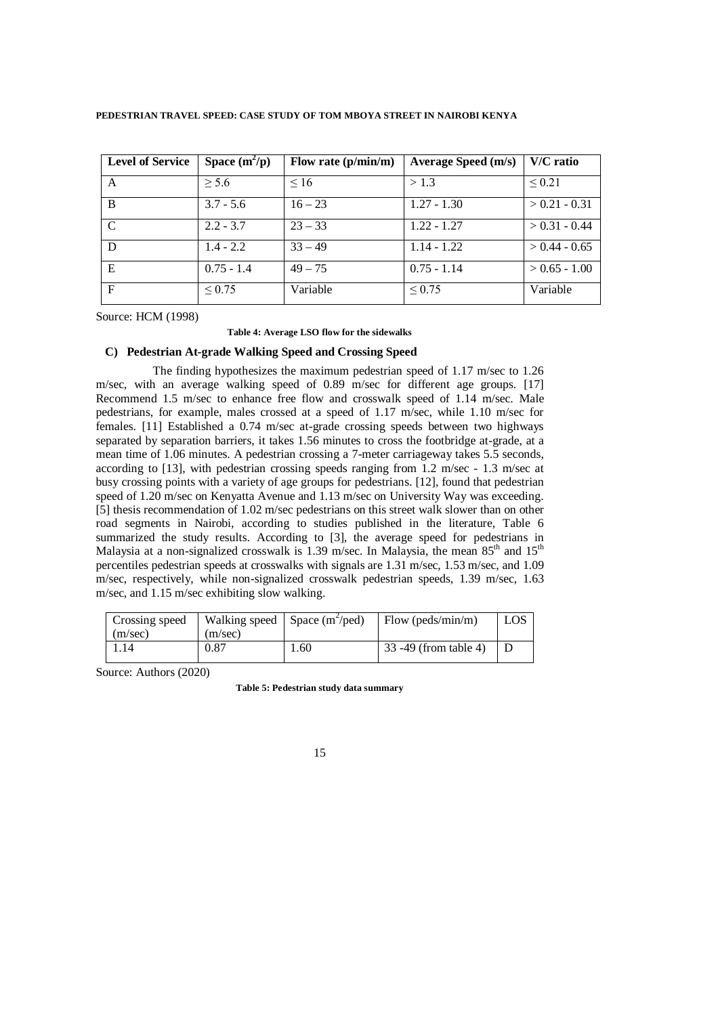| <b>Level of Service</b> | Space $(m^2/p)$ | Flow rate $(p/min/m)$ | <b>Average Speed (m/s)</b> | V/C ratio       |
|-------------------------|-----------------|-----------------------|----------------------------|-----------------|
| A                       | $\geq 5.6$      | $\leq 16$             | > 1.3                      | ${}_{0.21}$     |
| B                       | $3.7 - 5.6$     | $16 - 23$             | $1.27 - 1.30$              | $> 0.21 - 0.31$ |
| $\mathcal{C}$           | $2.2 - 3.7$     | $23 - 33$             | $1.22 - 1.27$              | $> 0.31 - 0.44$ |
| D                       | $1.4 - 2.2$     | $33 - 49$             | $1.14 - 1.22$              | $> 0.44 - 0.65$ |
| E                       | $0.75 - 1.4$    | $49 - 75$             | $0.75 - 1.14$              | $> 0.65 - 1.00$ |
| F                       | ${}_{0.75}$     | Variable              | ${}_{0.75}$                | Variable        |

Source: HCM (1998)

#### **Table 4: Average LSO flow for the sidewalks**

# **C) Pedestrian At-grade Walking Speed and Crossing Speed**

 The finding hypothesizes the maximum pedestrian speed of 1.17 m/sec to 1.26 m/sec, with an average walking speed of 0.89 m/sec for different age groups. [17] Recommend 1.5 m/sec to enhance free flow and crosswalk speed of 1.14 m/sec. Male pedestrians, for example, males crossed at a speed of 1.17 m/sec, while 1.10 m/sec for females. [11] Established a 0.74 m/sec at-grade crossing speeds between two highways separated by separation barriers, it takes 1.56 minutes to cross the footbridge at-grade, at a mean time of 1.06 minutes. A pedestrian crossing a 7-meter carriageway takes 5.5 seconds, according to [13], with pedestrian crossing speeds ranging from 1.2 m/sec - 1.3 m/sec at busy crossing points with a variety of age groups for pedestrians. [12], found that pedestrian speed of 1.20 m/sec on Kenyatta Avenue and 1.13 m/sec on University Way was exceeding. [5] thesis recommendation of 1.02 m/sec pedestrians on this street walk slower than on other road segments in Nairobi, according to studies published in the literature, Table 6 summarized the study results. According to [3], the average speed for pedestrians in Malaysia at a non-signalized crosswalk is 1.39 m/sec. In Malaysia, the mean  $85<sup>th</sup>$  and  $15<sup>th</sup>$ percentiles pedestrian speeds at crosswalks with signals are 1.31 m/sec, 1.53 m/sec, and 1.09 m/sec, respectively, while non-signalized crosswalk pedestrian speeds, 1.39 m/sec, 1.63 m/sec, and 1.15 m/sec exhibiting slow walking.

| Crossing speed |         | Walking speed Space $(m^2/\text{ped})$ | $\blacksquare$ Flow (peds/min/m) | LOS |
|----------------|---------|----------------------------------------|----------------------------------|-----|
| (m/sec)        | (m/sec) |                                        |                                  |     |
| 1.14           | 0.87    | 1.60                                   | 33 -49 (from table 4)            |     |
|                |         |                                        |                                  |     |

Source: Authors (2020)

**Table 5: Pedestrian study data summary**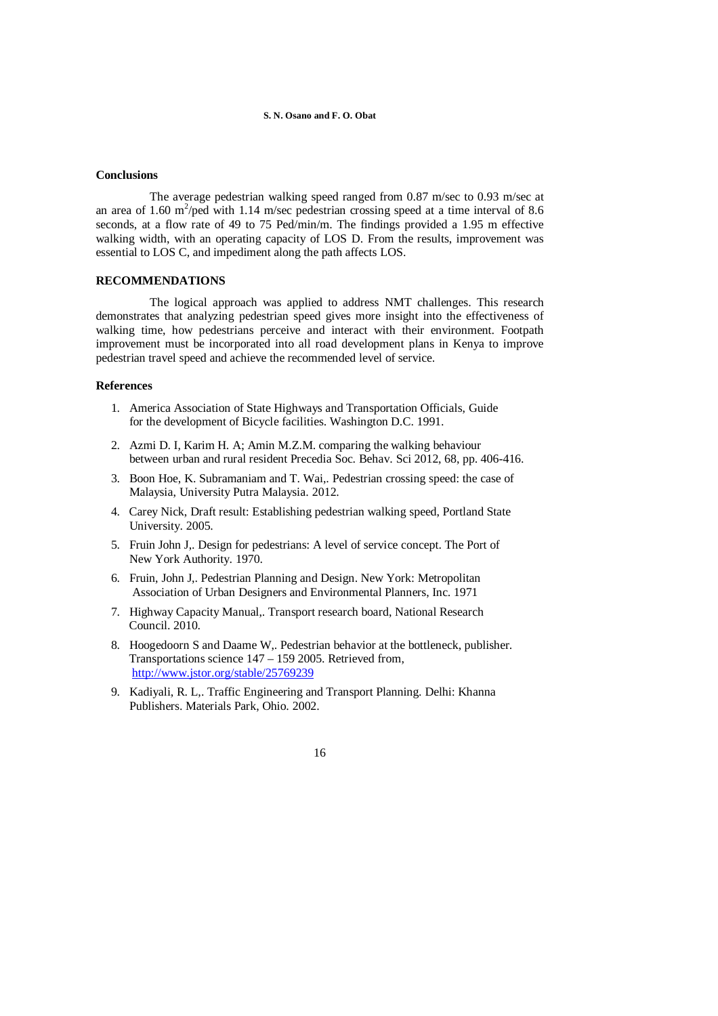#### **Conclusions**

 The average pedestrian walking speed ranged from 0.87 m/sec to 0.93 m/sec at an area of 1.60 m<sup>2</sup>/ped with 1.14 m/sec pedestrian crossing speed at a time interval of 8.6 seconds, at a flow rate of 49 to 75 Ped/min/m. The findings provided a 1.95 m effective walking width, with an operating capacity of LOS D. From the results, improvement was essential to LOS C, and impediment along the path affects LOS.

### **RECOMMENDATIONS**

 The logical approach was applied to address NMT challenges. This research demonstrates that analyzing pedestrian speed gives more insight into the effectiveness of walking time, how pedestrians perceive and interact with their environment. Footpath improvement must be incorporated into all road development plans in Kenya to improve pedestrian travel speed and achieve the recommended level of service.

### **References**

- 1.America Association of State Highways and Transportation Officials, Guide for the development of Bicycle facilities. Washington D.C. 1991.
- 2. Azmi D. I, Karim H. A; Amin M.Z.M. comparing the walking behaviour between urban and rural resident Precedia Soc. Behav. Sci 2012, 68, pp. 406-416.
- 3. Boon Hoe, K. Subramaniam and T. Wai,. Pedestrian crossing speed: the case of Malaysia, University Putra Malaysia. 2012.
- 4. Carey Nick, Draft result: Establishing pedestrian walking speed, Portland State University. 2005.
- 5. Fruin John J,. Design for pedestrians: A level of service concept. The Port of New York Authority. 1970.
- 6. Fruin, John J,. Pedestrian Planning and Design. New York: Metropolitan Association of Urban Designers and Environmental Planners, Inc. 1971
- 7. Highway Capacity Manual,. Transport research board, National Research Council. 2010.
- 8. Hoogedoorn S and Daame W,. Pedestrian behavior at the bottleneck, publisher. Transportations science 147 – 159 2005. Retrieved from, <http://www.jstor.org/stable/25769239>
- 9. Kadiyali, R. L,. Traffic Engineering and Transport Planning. Delhi: Khanna Publishers. Materials Park, Ohio. 2002.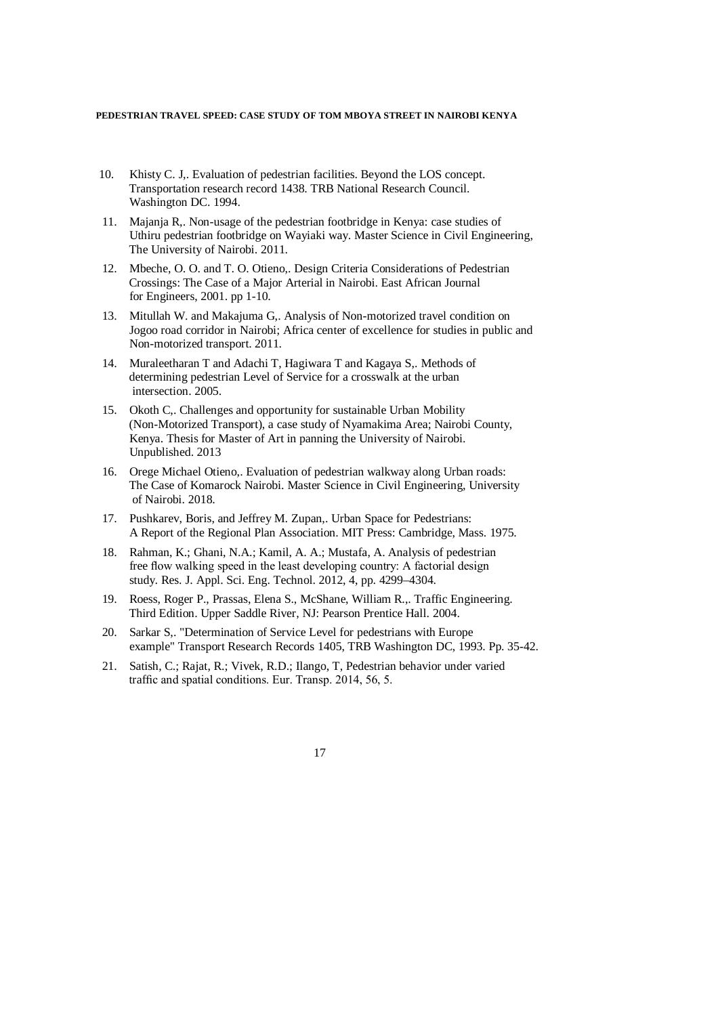- 10. Khisty C. J,. Evaluation of pedestrian facilities. Beyond the LOS concept. Transportation research record 1438. TRB National Research Council. Washington DC. 1994.
- 11. Majanja R,. Non-usage of the pedestrian footbridge in Kenya: case studies of Uthiru pedestrian footbridge on Wayiaki way. Master Science in Civil Engineering, The University of Nairobi. 2011.
- 12. Mbeche, O. O. and T. O. Otieno,. Design Criteria Considerations of Pedestrian Crossings: The Case of a Major Arterial in Nairobi. East African Journal for Engineers, 2001. pp 1-10.
- 13. Mitullah W. and Makajuma G,. Analysis of Non-motorized travel condition on Jogoo road corridor in Nairobi; Africa center of excellence for studies in public and Non-motorized transport. 2011.
- 14. Muraleetharan T and Adachi T, Hagiwara T and Kagaya S,. Methods of determining pedestrian Level of Service for a crosswalk at the urban intersection. 2005.
- 15. Okoth C,. Challenges and opportunity for sustainable Urban Mobility (Non-Motorized Transport), a case study of Nyamakima Area; Nairobi County, Kenya. Thesis for Master of Art in panning the University of Nairobi. Unpublished. 2013
- 16. Orege Michael Otieno,. Evaluation of pedestrian walkway along Urban roads: The Case of Komarock Nairobi. Master Science in Civil Engineering, University of Nairobi. 2018.
- 17. Pushkarev, Boris, and Jeffrey M. Zupan,. Urban Space for Pedestrians: A Report of the Regional Plan Association. MIT Press: Cambridge, Mass. 1975.
- 18. Rahman, K.; Ghani, N.A.; Kamil, A. A.; Mustafa, A. Analysis of pedestrian free flow walking speed in the least developing country: A factorial design study. Res. J. Appl. Sci. Eng. Technol. 2012, 4, pp. 4299–4304.
- 19. Roess, Roger P., Prassas, Elena S., McShane, William R.,. Traffic Engineering. Third Edition. Upper Saddle River, NJ: Pearson Prentice Hall. 2004.
- 20. Sarkar S,. "Determination of Service Level for pedestrians with Europe example" Transport Research Records 1405, TRB Washington DC, 1993. Pp. 35-42.
- 21. Satish, C.; Rajat, R.; Vivek, R.D.; Ilango, T, Pedestrian behavior under varied traffic and spatial conditions. Eur. Transp. 2014, 56, 5.